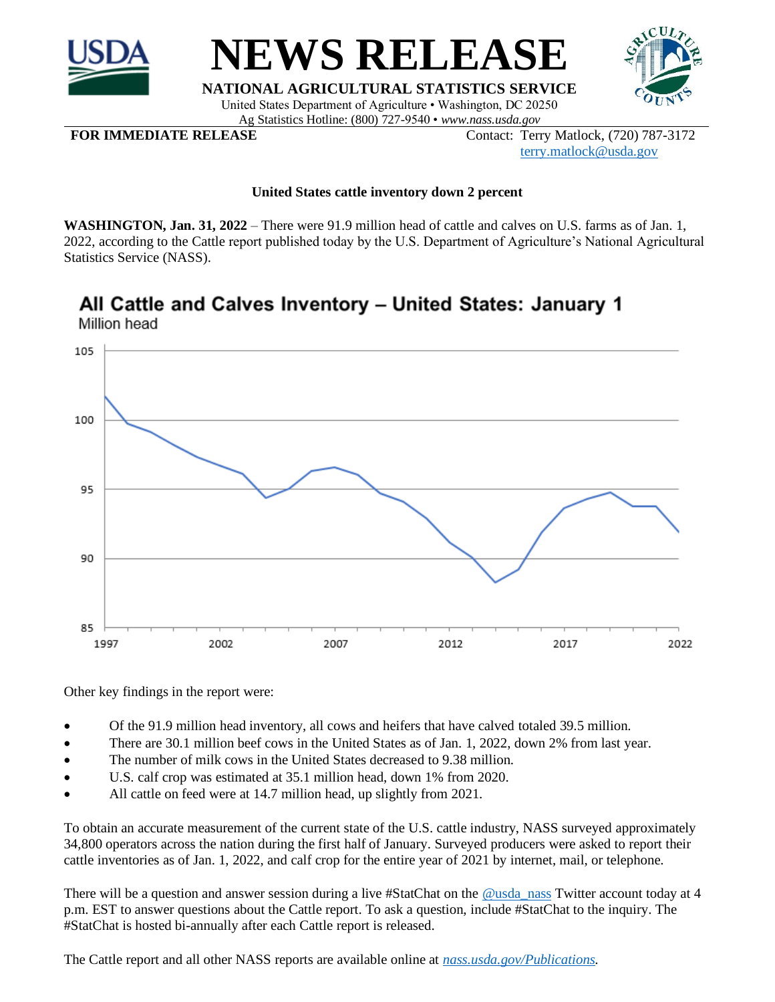



**NATIONAL AGRICULTURAL STATISTICS SERVICE** United States Department of Agriculture • Washington, DC 20250 Ag Statistics Hotline: (800) 727-9540 • *www.nass.usda.gov*

**FOR IMMEDIATE RELEASE** Contact: Terry Matlock, (720) 787-3172 [terry.matlock@usda.gov](mailto:terry.matlock@usda.gov)

## **United States cattle inventory down 2 percent**

**WASHINGTON, Jan. 31, 2022** – There were 91.9 million head of cattle and calves on U.S. farms as of Jan. 1, 2022, according to the Cattle report published today by the U.S. Department of Agriculture's National Agricultural Statistics Service (NASS).

## All Cattle and Calves Inventory - United States: January 1 Million head



Other key findings in the report were:

- Of the 91.9 million head inventory, all cows and heifers that have calved totaled 39.5 million.
- There are 30.1 million beef cows in the United States as of Jan. 1, 2022, down 2% from last year.
- The number of milk cows in the United States decreased to 9.38 million.
- U.S. calf crop was estimated at 35.1 million head, down 1% from 2020.
- All cattle on feed were at 14.7 million head, up slightly from 2021.

To obtain an accurate measurement of the current state of the U.S. cattle industry, NASS surveyed approximately 34,800 operators across the nation during the first half of January. Surveyed producers were asked to report their cattle inventories as of Jan. 1, 2022, and calf crop for the entire year of 2021 by internet, mail, or telephone.

There will be a question and answer session during a live #StatChat on the [@usda\\_nass](https://twitter.com/usda_nass) Twitter account today at 4 p.m. EST to answer questions about the Cattle report. To ask a question, include #StatChat to the inquiry. The #StatChat is hosted bi-annually after each Cattle report is released.

The Cattle report and all other NASS reports are available online at *[nass.usda.gov/](http://www.nass.usda.gov/)Publications.*